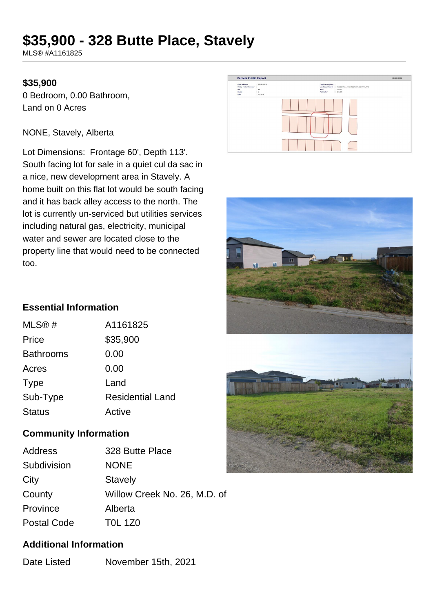# **\$35,900 - 328 Butte Place, Stavely**

MLS® #A1161825

#### **\$35,900**

0 Bedroom, 0.00 Bathroom, Land on 0 Acres

#### NONE, Stavely, Alberta

Lot Dimensions: Frontage 60', Depth 113'. South facing lot for sale in a quiet cul da sac in a nice, new development area in Stavely. A home built on this flat lot would be south facing and it has back alley access to the north. The lot is currently un-serviced but utilities services including natural gas, electricity, municipal water and sewer are located close to the property line that would need to be connected too.





## **Essential Information**

| MLS@#            | A1161825                |
|------------------|-------------------------|
| Price            | \$35,900                |
| <b>Bathrooms</b> | 0.00                    |
| Acres            | 0.00                    |
| <b>Type</b>      | Land                    |
| Sub-Type         | <b>Residential Land</b> |
| <b>Status</b>    | Active                  |

## **Community Information**

| Address            | 328 Butte Place              |
|--------------------|------------------------------|
| Subdivision        | <b>NONE</b>                  |
| City               | <b>Stavely</b>               |
| County             | Willow Creek No. 26, M.D. of |
| Province           | Alberta                      |
| <b>Postal Code</b> | <b>TOL 1Z0</b>               |
|                    |                              |

## **Additional Information**

Date Listed November 15th, 2021